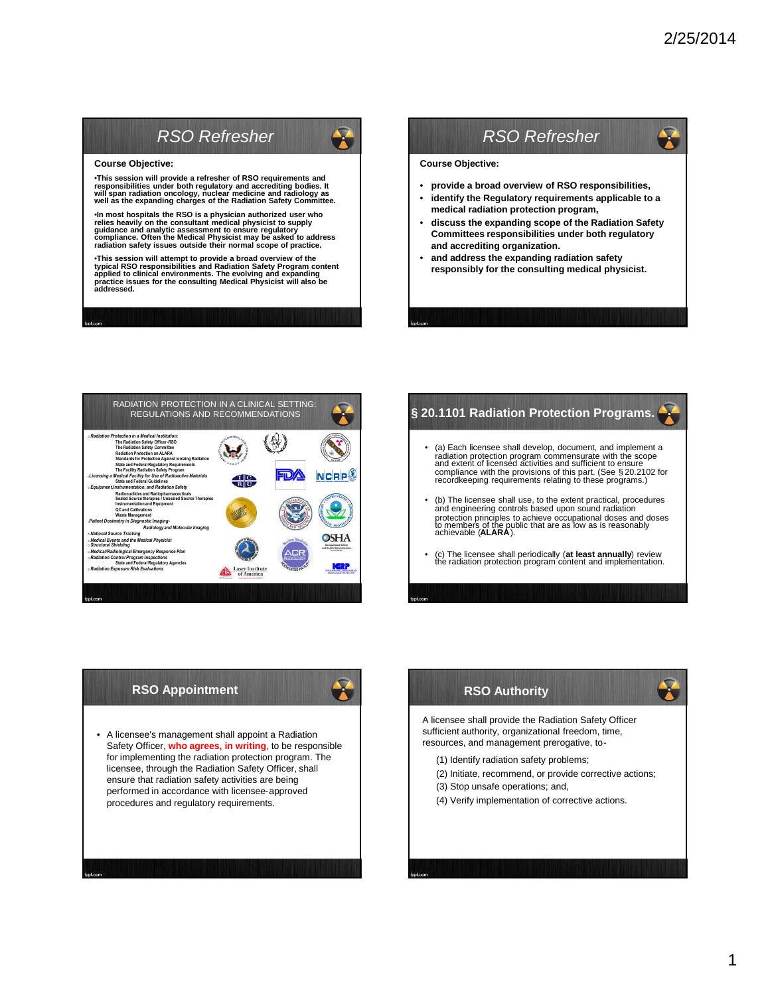Ŧ

# *RSO Refresher*

#### **Course Objective:**

•This session will provide a refresher of RSO requirements and<br>responsibilities under both regulatory and accrediting bodies. It<br>will span radiation oncology, nuclear medicine and radiology as<br>well as the expanding charges

•In most hospitals the RSO is a physician authorized user who<br>relies heavily on the consultant medical physicist to supply<br>guidance and analytic assessment to ensure regulatory<br>compliance. Often the Medical Physicist may b

•This session will attempt to provide a broad overview of the<br>typical RSO responsibilities and Radiation Safety Program content<br>applied to clinical environments. The evolving and expanding<br>practice issues for the consultin

# *RSO Refresher*

**Course Objective:**

- **provide a broad overview of RSO responsibilities,**
- **identify the Regulatory requirements applicable to a medical radiation protection program,**
- **discuss the expanding scope of the Radiation Safety Committees responsibilities under both regulatory and accrediting organization.**
- **and address the expanding radiation safety responsibly for the consulting medical physicist.**



#### § 20.1101 Radiation Protection Programs.

- (a) Each licensee shall develop, document, and implement a radiation protection program commensurate with the scope<br>and extent of licensed activities and sufficient to ensure<br>compliance with the provisions of this part. (See §20.2102 for<br>recordkeeping requirements relating to thes
- (b) The licensee shall use, to the extent practical, procedures and engineering controls based upon sound radiation protection principles to achieve occupational doses and doses to members of the public that are as low as is reasonably achievable (**ALARA**).
- (c) The licensee shall periodically (**at least annually**) review the radiation protection program content and implementation.

### **RSO Appointment**



• A licensee's management shall appoint a Radiation Safety Officer, **who agrees, in writing**, to be responsible for implementing the radiation protection program. The licensee, through the Radiation Safety Officer, shall ensure that radiation safety activities are being performed in accordance with licensee-approved procedures and regulatory requirements.

## **RSO Authority**

A licensee shall provide the Radiation Safety Officer sufficient authority, organizational freedom, time, resources, and management prerogative, to-

- (1) Identify radiation safety problems;
- (2) Initiate, recommend, or provide corrective actions;
- (3) Stop unsafe operations; and,
- (4) Verify implementation of corrective actions.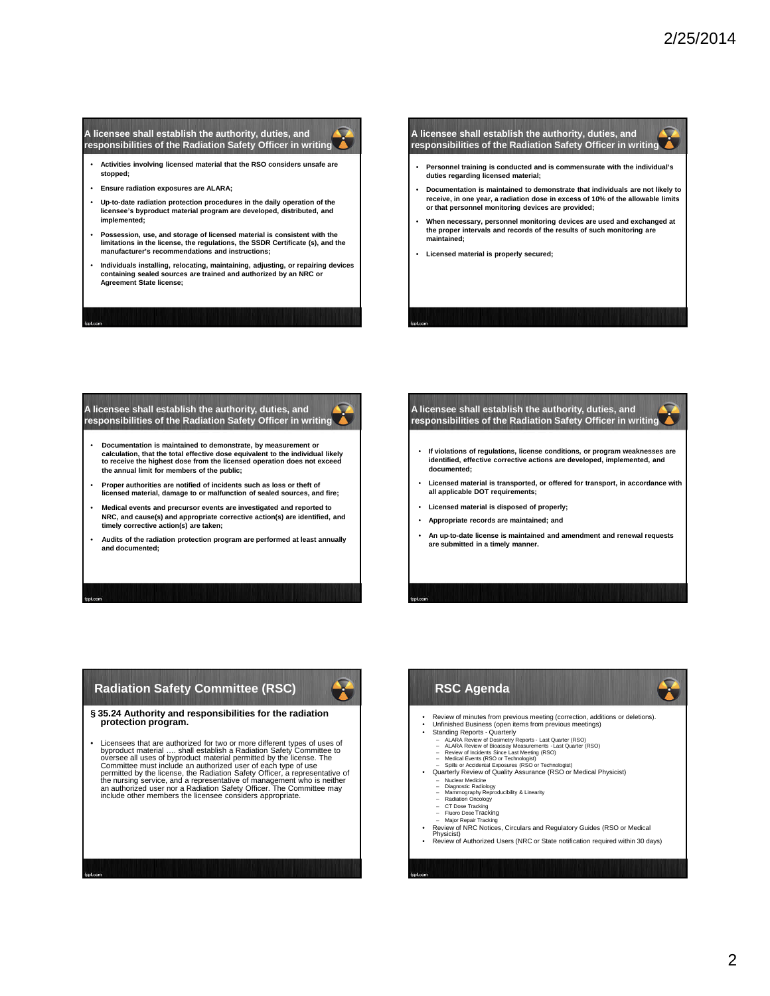#### **A licensee shall establish the authority, duties, and responsibilities of the Radiation Safety Officer in writing**

- **Activities involving licensed material that the RSO considers unsafe are stopped;**
- **Ensure radiation exposures are ALARA;**
- **Up-to-date radiation protection procedures in the daily operation of the licensee's byproduct material program are developed, distributed, and implemented;**
- **Possession, use, and storage of licensed material is consistent with the limitations in the license, the regulations, the SSDR Certificate (s), and the manufacturer's recommendations and instructions;**
- **Individuals installing, relocating, maintaining, adjusting, or repairing devices containing sealed sources are trained and authorized by an NRC or Agreement State license;**

#### **A licensee shall establish the authority, duties, and responsibilities of the Radiation Safety Officer in writing**

- **Personnel training is conducted and is commensurate with the individual's duties regarding licensed material;**
- **Documentation is maintained to demonstrate that individuals are not likely to receive, in one year, a radiation dose in excess of 10% of the allowable limits or that personnel monitoring devices are provided;**
- **When necessary, personnel monitoring devices are used and exchanged at the proper intervals and records of the results of such monitoring are maintained;**
- **Licensed material is properly secured;**

#### **A licensee shall establish the authority, duties, and responsibilities of the Radiation Safety Officer in writing**

- **Documentation is maintained to demonstrate, by measurement or calculation, that the total effective dose equivalent to the individual likely to receive the highest dose from the licensed operation does not exceed the annual limit for members of the public;**
- **Proper authorities are notified of incidents such as loss or theft of licensed material, damage to or malfunction of sealed sources, and fire;**
- **Medical events and precursor events are investigated and reported to NRC, and cause(s) and appropriate corrective action(s) are identified, and timely corrective action(s) are taken;**
- **Audits of the radiation protection program are performed at least annually and documented;**

#### **A licensee shall establish the authority, duties, and responsibilities of the Radiation Safety Officer in writing**

- **If violations of regulations, license conditions, or program weaknesses are identified, effective corrective actions are developed, implemented, and documented;**
- **Licensed material is transported, or offered for transport, in accordance with all applicable DOT requirements;**
- **Licensed material is disposed of properly;**
- **Appropriate records are maintained; and**
- **An up-to-date license is maintained and amendment and renewal requests are submitted in a timely manner.**

## **Radiation Safety Committee (RSC)**



**§ 35.24 Authority and responsibilities for the radiation protection program.**

• Licensees that are authorized for two or more different types of uses of byproduct material..... shall establish a Radiation Safety Committee by oversee all uses of byproduct material permitted by the license. The Commit

## **RSC Agenda**

- Review of minutes from previous meeting (correction, additions or deletions). • Unfinished Business (open items from previous meetings)
- 
- 
- 
- 
- Standing Reports Quarterly<br>
ALARA Review of Dosimetry Reports Last Quarter (RSO)<br>
ALARA Review of Bioassay Measurements Last Quarter (RSO)<br>
Review of Incidents Since Last Meeting (RSO)<br>
Medical Events (RS
- - Nuclear Medicine Diagnostic Radiology Mammography Reproducibility & Linearity Radiation Oncology
- 
- 
- 
- CT Dose Tracking Fluoro DoseTracking Major Repair Tracking Review of NRC Notices, Circulars and Regulatory Guides (RSO or Medical Physicist)
- Review of Authorized Users (NRC or State notification required within 30 days)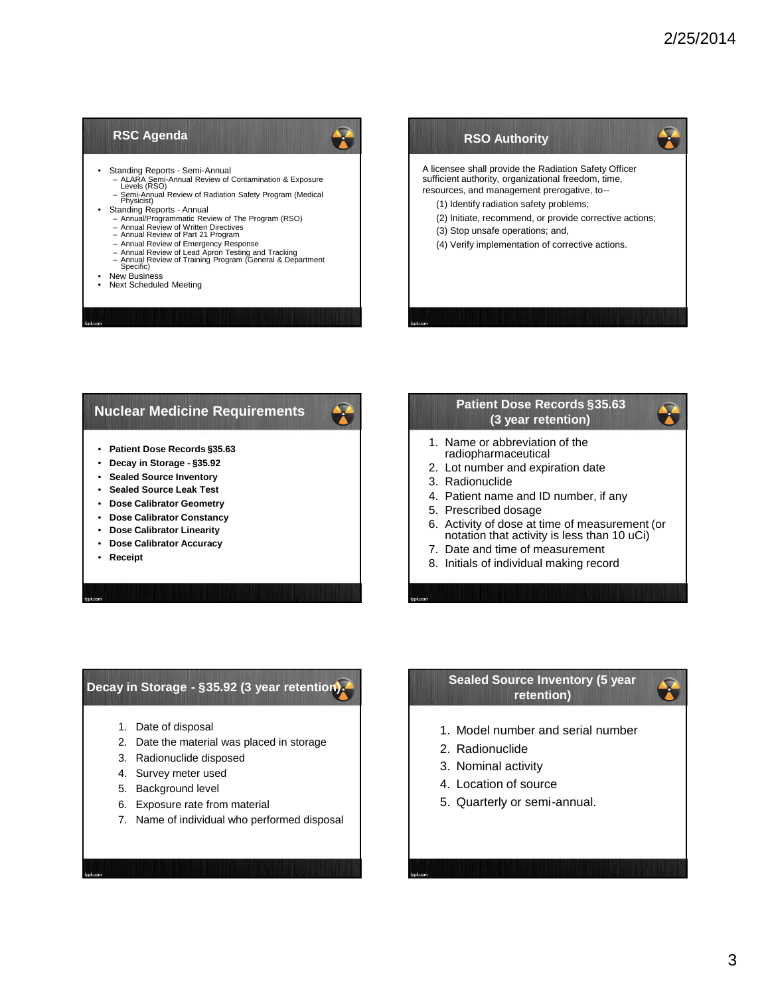#### **RSC Agenda**



- Standing Reports Semi-Annual
	- ALARA Semi-Annual Review of Contamination & Exposure Levels (RSO)
	- Semi-Annual Review of Radiation Safety Program (Medical Physicist)
- Standing Reports Annual
	- Annual/Programmatic Review of The Program (RSO)
	-
	- Annual Review of Written Directives Annual Review of Part 21 Program Annual Review of Emergency Response
	-
	- Annual Review of Lead Apron Testing and Tracking Annual Review of Training Program (General & Department Specific)
- New Business
- Next Scheduled Meeting



#### **Nuclear Medicine Requirements**

- **Patient Dose Records §35.63**
- **Decay in Storage - §35.92**
- **Sealed Source Inventory**
- **Sealed Source Leak Test**
- **Dose Calibrator Geometry**
- **Dose Calibrator Constancy**
- **Dose Calibrator Linearity**
- **Dose Calibrator Accuracy**
- **Receipt**

## **Patient Dose Records §35.63 (3 year retention)**

- 1. Name or abbreviation of the radiopharmaceutical
- 2. Lot number and expiration date
- 3. Radionuclide
- 4. Patient name and ID number, if any
- 5. Prescribed dosage
- 6. Activity of dose at time of measurement (or notation that activity is less than 10 uCi)
- 7. Date and time of measurement
- 8. Initials of individual making record

#### **Decay in Storage - §35.92 (3 year retention)**

- 1. Date of disposal
- 2. Date the material was placed in storage
- 3. Radionuclide disposed
- 4. Survey meter used
- 5. Background level
- 6. Exposure rate from material
- 7. Name of individual who performed disposal

#### **Sealed Source Inventory (5 year retention)**

- 1. Model number and serial number
- 2. Radionuclide
- 3. Nominal activity
- 4. Location of source
- 5. Quarterly or semi-annual.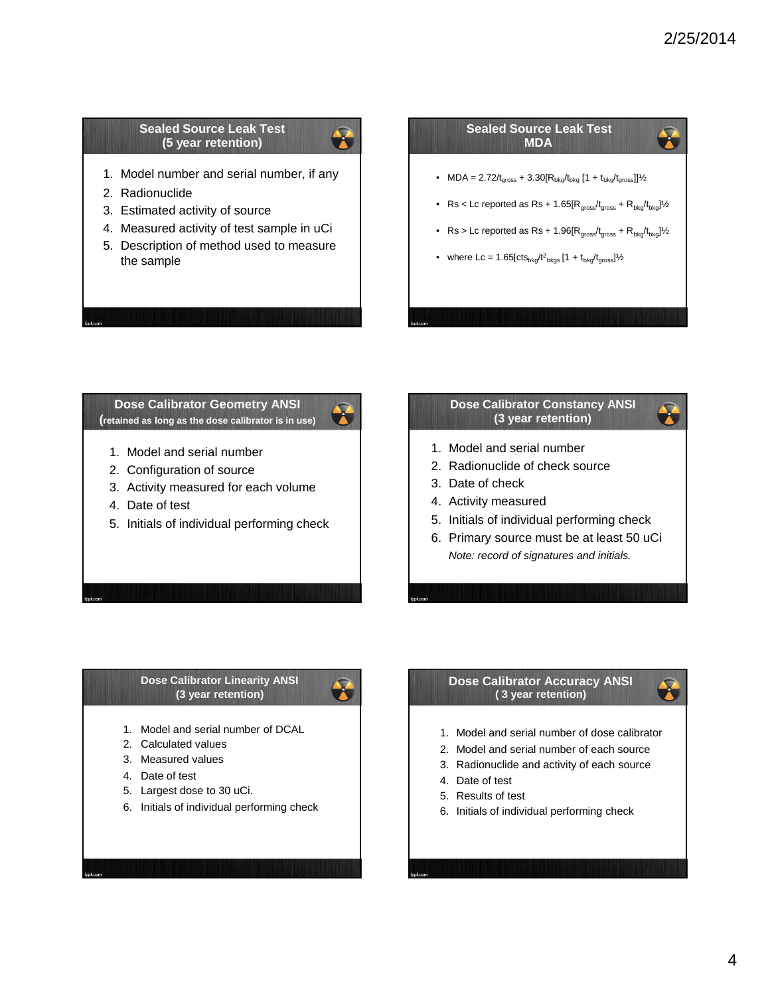X

X

#### **Sealed Source Leak Test (5 year retention)**

- 1. Model number and serial number, if any
- 2. Radionuclide
- 3. Estimated activity of source
- 4. Measured activity of test sample in uCi
- 5. Description of method used to measure the sample

#### **Sealed Source Leak Test** Ñ **MDA**

- MDA =  $2.72/t_{gross} + 3.30[R_{bkg}/t_{bkg} [1 + t_{bkg}/t_{gross}]]\frac{1}{2}$
- Rs < Lc reported as Rs + 1.65[ $R_{gross}/t_{gross} + R_{bkg}/t_{bkg}$ ] $\frac{1}{2}$
- Rs > Lc reported as Rs + 1.96 $[R_{gross}/t_{gross} + R_{bkg}/t_{bkg}]$ <sup>1</sup>/<sub>2</sub>
- where Lc = 1.65[cts<sub>bkg</sub>/t<sup>2</sup><sub>bkgs</sub> [1 + t<sub>bkg</sub>/t<sub>gross</sub>]½

**Dose Calibrator Geometry ANSI (retained as long as the dose calibrator is in use)**

 $\bullet$ 

- 1. Model and serial number
- 2. Configuration of source
- 3. Activity measured for each volume
- 4. Date of test
- 5. Initials of individual performing check

## **Dose Calibrator Constancy ANSI (3 year retention)**

- 1. Model and serial number
- 2. Radionuclide of check source
- 3. Date of check
- 4. Activity measured
- 5. Initials of individual performing check
- 6. Primary source must be at least 50 uCi *Note: record of signatures and initials*.

#### **Dose Calibrator Linearity ANSI (3 year retention)**

- 1. Model and serial number of DCAL
- 2. Calculated values
- 3. Measured values
- 4. Date of test
- 5. Largest dose to 30 uCi.
- 6. Initials of individual performing check

#### **Dose Calibrator Accuracy ANSI ( 3 year retention)**

- 1. Model and serial number of dose calibrator
- 2. Model and serial number of each source
- 3. Radionuclide and activity of each source
- 4. Date of test
- 5. Results of test
- 6. Initials of individual performing check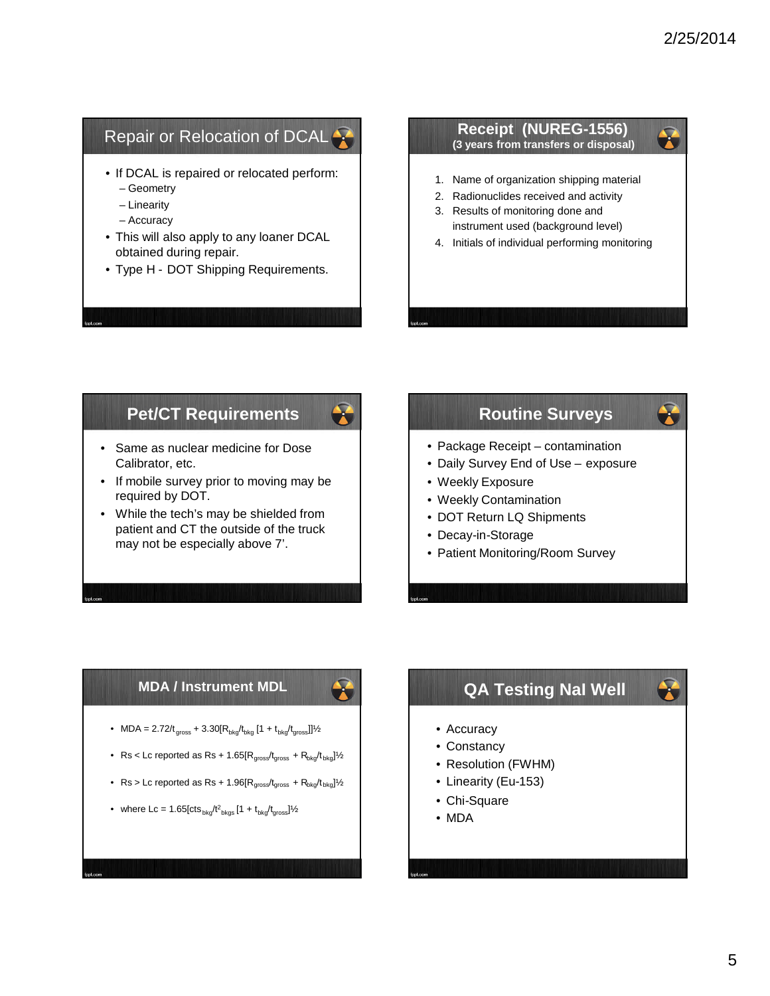# Repair or Relocation of DCAL<sup>2</sup>

- If DCAL is repaired or relocated perform: – Geometry
	- Linearity
	- Accuracy
- This will also apply to any loaner DCAL obtained during repair.
- Type H DOT Shipping Requirements.



## **Pet/CT Requirements**

 $\mathbf{r}$ 

- Same as nuclear medicine for Dose Calibrator, etc.
- If mobile survey prior to moving may be required by DOT.
- While the tech's may be shielded from patient and CT the outside of the truck may not be especially above 7'.

# **Routine Surveys**

- Package Receipt contamination
- Daily Survey End of Use exposure
- Weekly Exposure
- Weekly Contamination
- DOT Return LQ Shipments
- Decay-in-Storage
- Patient Monitoring/Room Survey

## **MDA / Instrument MDL**

- MDA =  $2.72/t_{\textrm{gross}} + 3.30[R_{\textrm{bkg}}/t_{\textrm{bkg}}$  [1 +  $t_{\textrm{bkg}}/t_{\textrm{gross}}]]\frac{1}{2}$
- Rs < Lc reported as Rs + 1.65[ $R_{gross}/t_{gross} + R_{bkg}/t_{bkg}$ ] $\frac{1}{2}$
- $Rs > Lc$  reported as  $Rs + 1.96[R<sub>gross</sub>/t<sub>gross</sub> + R<sub>bkg</sub>/t<sub>bkg</sub>]/2$
- where Lc = 1.65[cts  $_{\text{bkg}}/t^2$ <sub>bkgs</sub> [1 +  $t_{\text{bkg}}/t_{\text{gross}}$ ]½

# **QA Testing NaI Well**

- Accuracy
- Constancy
- Resolution (FWHM)
- Linearity (Eu-153)
- Chi-Square
- MDA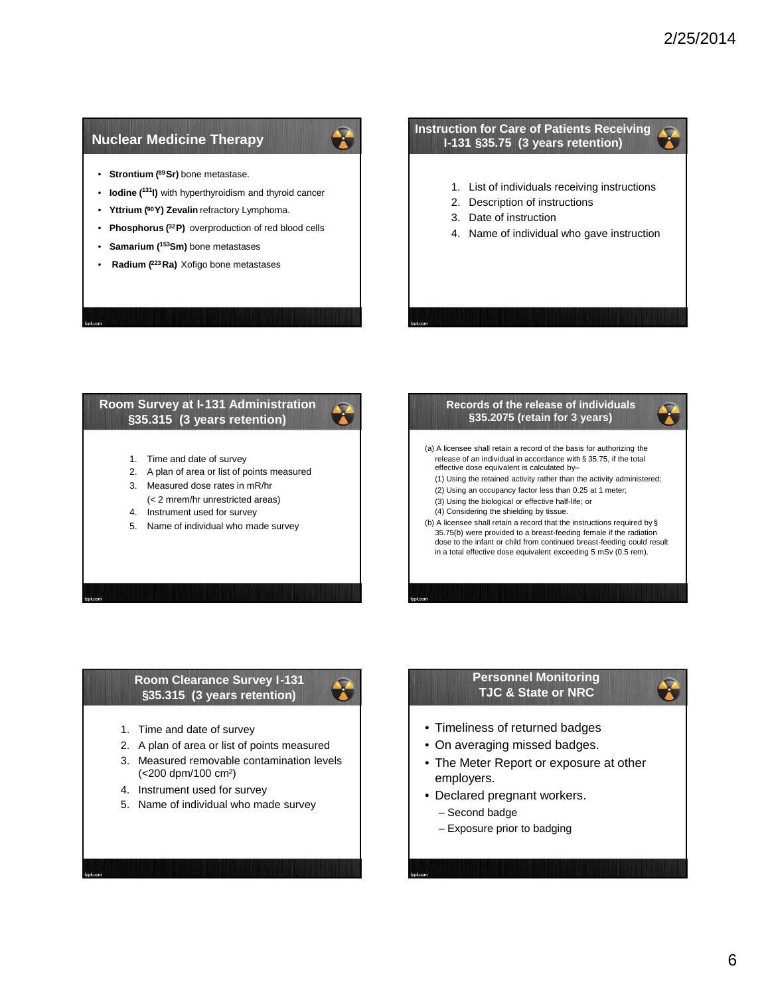## **Nuclear Medicine Therapy**

- **Strontium (89Sr)** bone metastase.
- **Iodine (<sup>131</sup>I)** with hyperthyroidism and thyroid cancer
- **Yttrium (90Y) Zevalin** refractory Lymphoma.
- **Phosphorus (32P)** overproduction of red blood cells
- **Samarium (<sup>153</sup>Sm)** bone metastases
- **Radium (223Ra)** Xofigo bone metastases

#### **Instruction for Care of Patients Receiving I-131 §35.75 (3 years retention)**

- 1. List of individuals receiving instructions
- 2. Description of instructions
- 3. Date of instruction
- 4. Name of individual who gave instruction

#### **Room Survey at I-131 Administration §35.315 (3 years retention)**

- 1. Time and date of survey
- 2. A plan of area or list of points measured
- 3. Measured dose rates in mR/hr (< 2 mrem/hr unrestricted areas)
- 4. Instrument used for survey
- 5. Name of individual who made survey

#### **Records of the release of individuals §35.2075 (retain for 3 years)** (a) A licensee shall retain a record of the basis for authorizing the release of an individual in accordance with § 35.75, if the total effective dose equivalent is calculated by-- (1) Using the retained activity rather than the activity administered; (2) Using an occupancy factor less than 0.25 at 1 meter; (3) Using the biological or effective half-life; or (4) Considering the shielding by tissue.

(b) A licensee shall retain a record that the instructions required by § 35.75(b) were provided to a breast-feeding female if the radiation dose to the infant or child from continued breast-feeding could result in a total effective dose equivalent exceeding 5 mSv (0.5 rem).

#### **Room Clearance Survey I-131 §35.315 (3 years retention)**



 $\mathbf{r}$ 

- 1. Time and date of survey
- 2. A plan of area or list of points measured
- 3. Measured removable contamination levels (<200 dpm/100 cm2)
- 4. Instrument used for survey
- 5. Name of individual who made survey

#### **Personnel Monitoring TJC & State or NRC**

- Timeliness of returned badges
- On averaging missed badges.
- The Meter Report or exposure at other employers.
- Declared pregnant workers.
	- Second badge
	- Exposure prior to badging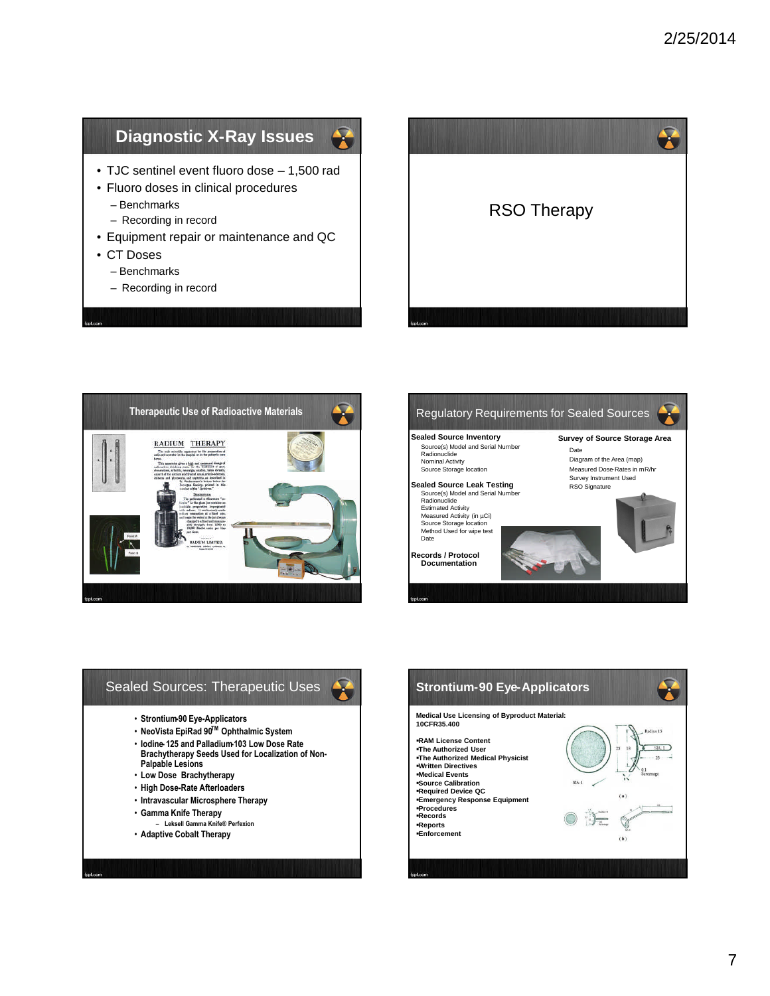# **Diagnostic X-Ray Issues**



- Fluoro doses in clinical procedures – Benchmarks
	- Recording in record
- Equipment repair or maintenance and QC
- CT Doses
	- Benchmarks
	- Recording in record









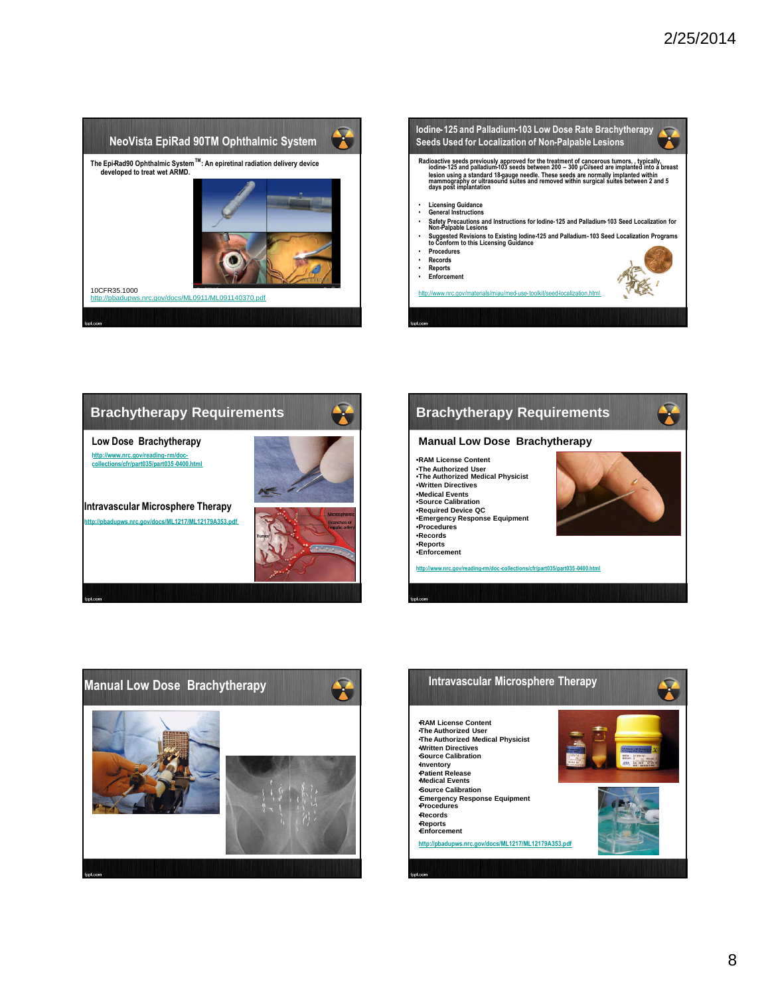





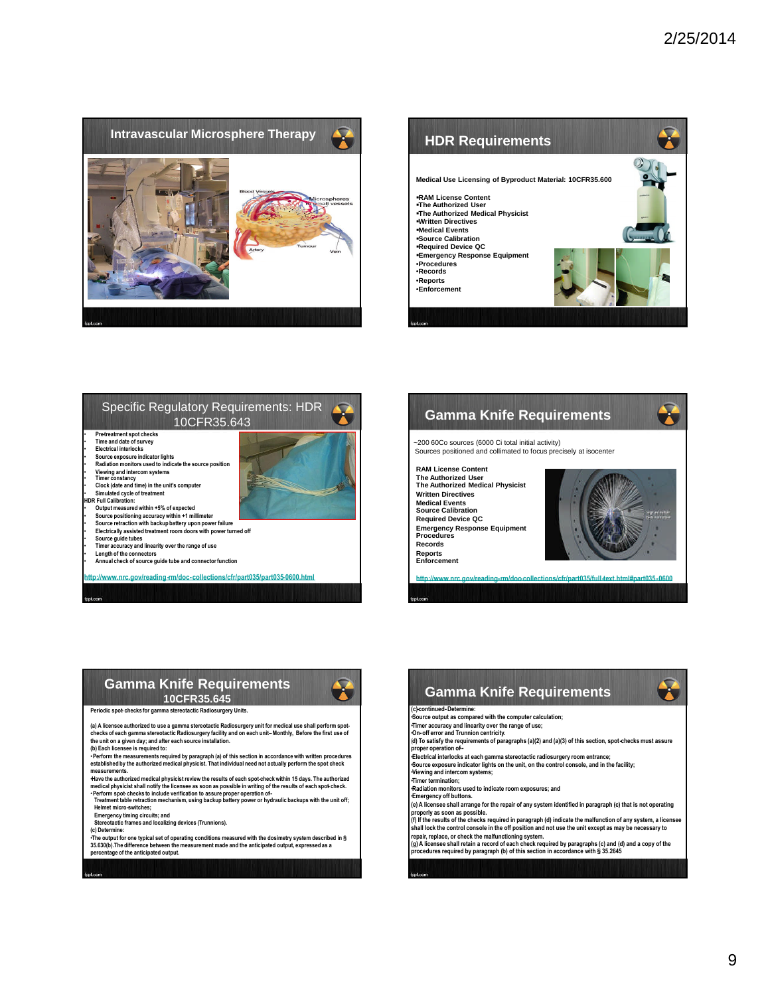







#### **Gamma Knife Requirements 10CFR35.645**



**Periodic spot- checks for gamma stereotactic Radiosurgery Units.**

(a) A licensee authorized to use a gamma stereotactic Radiosurgery unit for medical use shall perform spot-<br>checks of each gamma stereotactic Radiosurgery facility and on each unit–Monthly, Before the first use of<br>the unit

**(b) Each licensee is required to:**

• Perform the measurements required by paragraph (a) of this section in accordance with written procedures<br>established by the authorized medical physicist. That individual need not actually perform the spot check **measurements.**

Have the authorized medical physicist review the results of each spot-check within 15 days. The authorized<br>medical physicist shall notify the licensee as soon as possible in writing of the results of each spot-check.<br>• Pe

**Helmet micro-switches;**

**Emergency timing circuits; and Stereotactic frames and localizing devices (Trunnions).**

**(c) Determine:**

∙The output for one typical set of operating conditions measured with the dosimetry system described in §<br>35.630(b).The difference between the measurement made and the anticipated output, expressed as a<br>percentage of the

**Gamma Knife Requirements**

#### **(c)-continued-Determine:**

•**Source output as compared with the computer calculation;**

•**Timer accuracy and linearity over the range of use;** •**On-off error and Trunnion centricity.** (**d) To satisfy the requirements of paragraphs (a)(2) and (a)(3) of this section, spot-checks must assure proper operation of--**

•**Electrical interlocks at each gamma stereotactic radiosurgery room entrance;** •**Source exposure indicator lights on the unit, on the control console, and in the facility;**

•**Viewing and intercom systems;**

•**Timer termination;**

•**Radiation monitors used to indicate room exposures; and**

•**Emergency off buttons.**

(e) A licensee shall arrange for the repair of any system identified in paragraph (c) that is not operating<br>properly as soon as possible.<br>(f) If the results of the checks required in paragraph (d) indicate the malfunction

repair, replace, or check the malfunctioning system.<br>(g) A licensee shall retain a record of each check required by paragraphs (c) and (d) and a copy of the<br>procedures required by paragraph (b) of this section in accordanc

Ŧ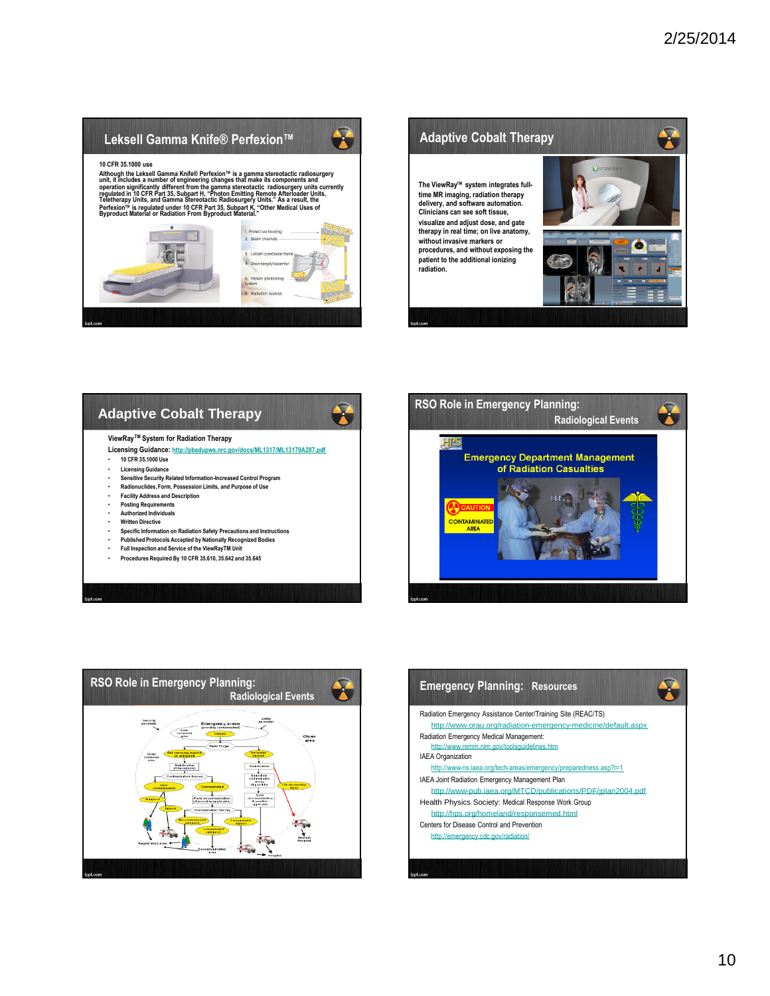# $\mathbf{r}$ **Leksell Gamma Knife® Perfexion™ 10 CFR 35.1000 use** Although the Leksell Gamma Knife® Perfexion™ is a gamma stereotactic radiosurgery<br>unit, it includes a number of engineering changes that make its components and<br>operation significantly different from the gamma stereotactic 2. Beamch **radiation.**